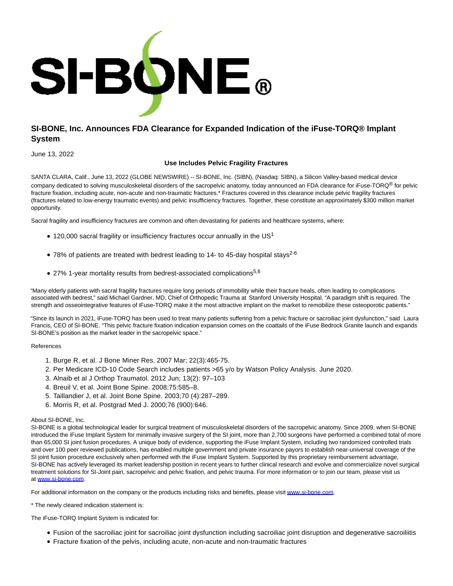

## **SI-BONE, Inc. Announces FDA Clearance for Expanded Indication of the iFuse-TORQ® Implant System**

June 13, 2022

## **Use Includes Pelvic Fragility Fractures**

SANTA CLARA, Calif., June 13, 2022 (GLOBE NEWSWIRE) -- SI-BONE, Inc. (SIBN), (Nasdaq: SIBN), a Silicon Valley-based medical device company dedicated to solving musculoskeletal disorders of the sacropelvic anatomy, today announced an FDA clearance for iFuse-TORQ<sup>®</sup> for pelvic fracture fixation, including acute, non-acute and non-traumatic fractures.\* Fractures covered in this clearance include pelvic fragility fractures (fractures related to low-energy traumatic events) and pelvic insufficiency fractures. Together, these constitute an approximately \$300 million market opportunity.

Sacral fragility and insufficiency fractures are common and often devastating for patients and healthcare systems, where:

- $\bullet$  120,000 sacral fragility or insufficiency fractures occur annually in the US<sup>1</sup>
- 78% of patients are treated with bedrest leading to 14- to 45-day hospital stays<sup>2-6</sup>
- 27% 1-year mortality results from bedrest-associated complications<sup>5,6</sup>

"Many elderly patients with sacral fragility fractures require long periods of immobility while their fracture heals, often leading to complications associated with bedrest," said Michael Gardner, MD, Chief of Orthopedic Trauma at Stanford University Hospital. "A paradigm shift is required. The strength and osseointegrative features of iFuse-TORQ make it the most attractive implant on the market to remobilize these osteoporotic patients."

"Since its launch in 2021, iFuse-TORQ has been used to treat many patients suffering from a pelvic fracture or sacroiliac joint dysfunction," said Laura Francis, CEO of SI-BONE. "This pelvic fracture fixation indication expansion comes on the coattails of the iFuse Bedrock Granite launch and expands SI-BONE's position as the market leader in the sacropelvic space."

## References

- 1. Burge R, et al. J Bone Miner Res. 2007 Mar; 22(3):465-75.
- 2. Per Medicare ICD-10 Code Search includes patients >65 y/o by Watson Policy Analysis. June 2020.
- 3. Alnaib et al J Orthop Traumatol. 2012 Jun; 13(2): 97–103
- 4. Breuil V, et al. Joint Bone Spine. 2008;75:585–8.
- 5. Taillandier J, et al. Joint Bone Spine. 2003;70 (4):287–289.
- 6. Morris R, et al. Postgrad Med J. 2000;76 (900):646.

## About SI-BONE, Inc.

SI-BONE is a global technological leader for surgical treatment of musculoskeletal disorders of the sacropelvic anatomy. Since 2009, when SI-BONE introduced the iFuse Implant System for minimally invasive surgery of the SI joint, more than 2,700 surgeons have performed a combined total of more than 65,000 SI joint fusion procedures. A unique body of evidence, supporting the iFuse Implant System, including two randomized controlled trials and over 100 peer reviewed publications, has enabled multiple government and private insurance payors to establish near-universal coverage of the SI joint fusion procedure exclusively when performed with the iFuse Implant System. Supported by this proprietary reimbursement advantage, SI-BONE has actively leveraged its market leadership position in recent years to further clinical research and evolve and commercialize novel surgical treatment solutions for SI-Joint pain, sacropelvic and pelvic fixation, and pelvic trauma. For more information or to join our team, please visit us at [www.si-bone.com.](https://www.globenewswire.com/Tracker?data=blsUaZ6kYpZ7rKNYQWjiIiEzr57_FHdf_AHIEs_AIZz3jpWCucioJ5h4-4NBYo2B1jXYdP4VztB7sl9mJx3oPQ==)

For additional information on the company or the products including risks and benefits, please visi[t www.si-bone.com.](https://www.globenewswire.com/Tracker?data=blsUaZ6kYpZ7rKNYQWjiImNxWYRTc_CyE_OFrSUmiNztMZpc2s-k5XWT-ljBbamOxo6-971E00cw8K1PtMnV1w==)

\* The newly cleared indication statement is:

The iFuse-TORQ Implant System is indicated for:

- Fusion of the sacroiliac joint for sacroiliac joint dysfunction including sacroiliac joint disruption and degenerative sacroiliitis
- Fracture fixation of the pelvis, including acute, non-acute and non-traumatic fractures